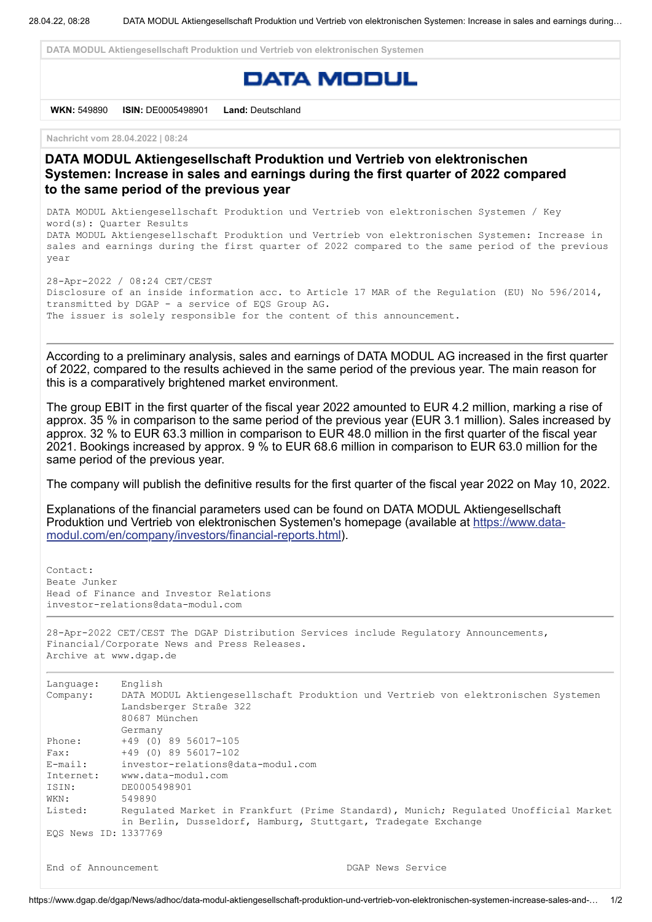**DATA MODUL Aktiengesellschaft Produktion und Vertrieb von elektronischen Systemen**

## **DATA MODUL**

**WKN:** 549890 **ISIN:** DE0005498901 **Land:** Deutschland

**Nachricht vom 28.04.2022 | 08:24**

## **DATA MODUL Aktiengesellschaft Produktion und Vertrieb von elektronischen Systemen: Increase in sales and earnings during the first quarter of 2022 compared to the same period of the previous year**

DATA MODUL Aktiengesellschaft Produktion und Vertrieb von elektronischen Systemen / Key word(s): Quarter Results DATA MODUL Aktiengesellschaft Produktion und Vertrieb von elektronischen Systemen: Increase in sales and earnings during the first quarter of 2022 compared to the same period of the previous year

28-Apr-2022 / 08:24 CET/CEST Disclosure of an inside information acc. to Article 17 MAR of the Regulation (EU) No 596/2014, transmitted by DGAP - a service of EQS Group AG. The issuer is solely responsible for the content of this announcement.

According to a preliminary analysis, sales and earnings of DATA MODUL AG increased in the first quarter of 2022, compared to the results achieved in the same period of the previous year. The main reason for this is a comparatively brightened market environment.

The group EBIT in the first quarter of the fiscal year 2022 amounted to EUR 4.2 million, marking a rise of approx. 35 % in comparison to the same period of the previous year (EUR 3.1 million). Sales increased by approx. 32 % to EUR 63.3 million in comparison to EUR 48.0 million in the first quarter of the fiscal year 2021. Bookings increased by approx. 9 % to EUR 68.6 million in comparison to EUR 63.0 million for the same period of the previous year.

The company will publish the definitive results for the first quarter of the fiscal year 2022 on May 10, 2022.

Explanations of the financial parameters used can be found on DATA MODUL Aktiengesellschaft Produktion und Vertrieb von elektronischen Systemen's homepage (available at https://www.data[modul.com/en/company/investors/financial-reports.html\).](https://eqs-cockpit.com/cgi-bin/fncls.ssp?fn=redirect&url=467e89b2f2aa9af3692348fe2d3260b5&application_id=1337769&site_id=news_data&application_name=news)

```
Contact:
Beate Junker
Head of Finance and Investor Relations
investor-relations@data-modul.com
28-Apr-2022 CET/CEST The DGAP Distribution Services include Regulatory Announcements,
Financial/Corporate News and Press Releases.
Archive at www.dgap.de
Language: English
Company: DATA MODUL Aktiengesellschaft Produktion und Vertrieb von elektronischen Systemen
            Landsberger Straße 322
           80687 München
           Germany
Phone: +49 (0) 89 56017-105
Fax: +49 (0) 89 56017-102
E-mail: investor-relations@data-modul.com
Internet: www.data-modul.com
ISIN: DE0005498901
WKN: 549890
Listed: Regulated Market in Frankfurt (Prime Standard), Munich; Regulated Unofficial Market
           in Berlin, Dusseldorf, Hamburg, Stuttgart, Tradegate Exchange
EQS News ID: 1337769
```
End of Announcement The Communication of Announcement Communication of DGAP News Service